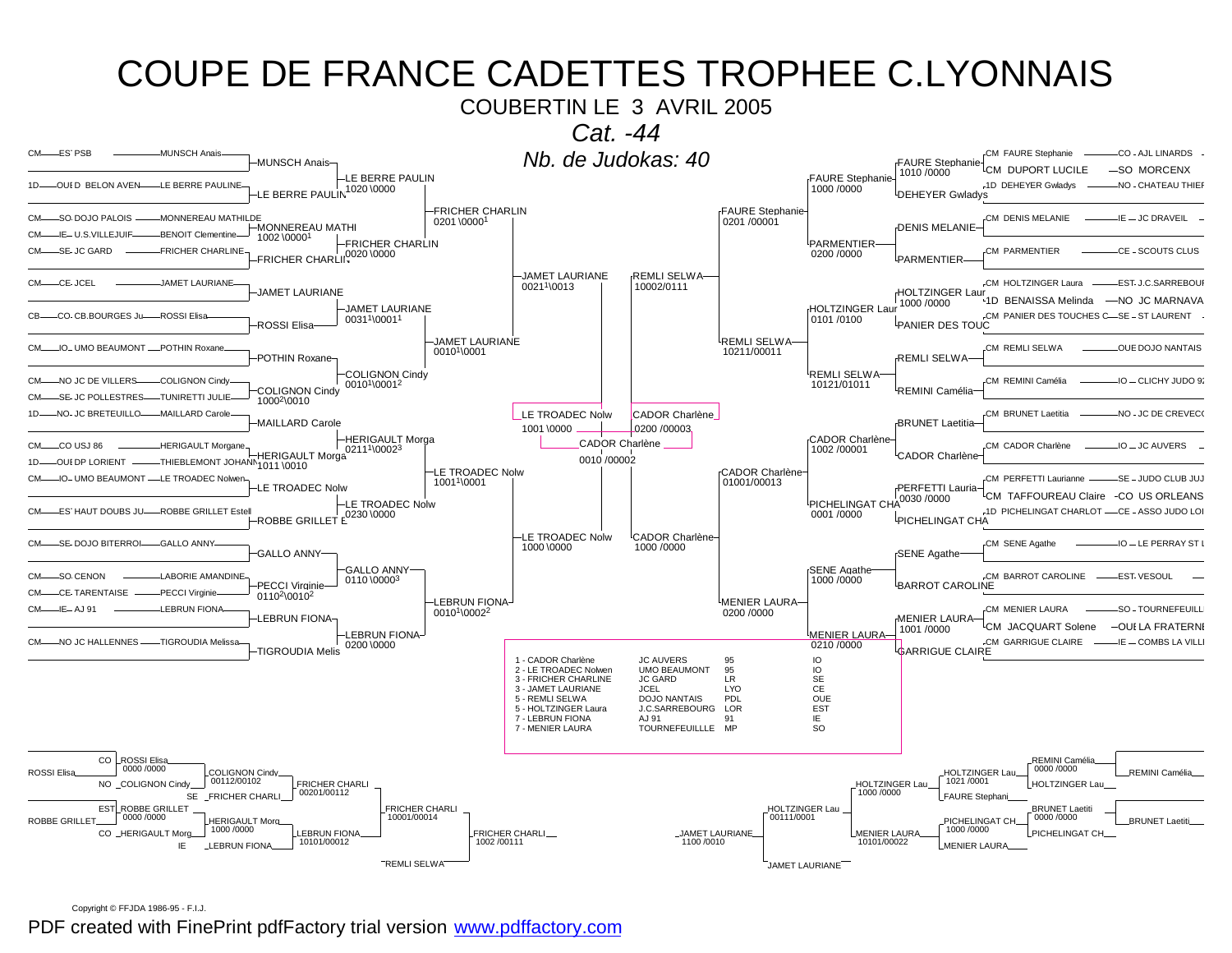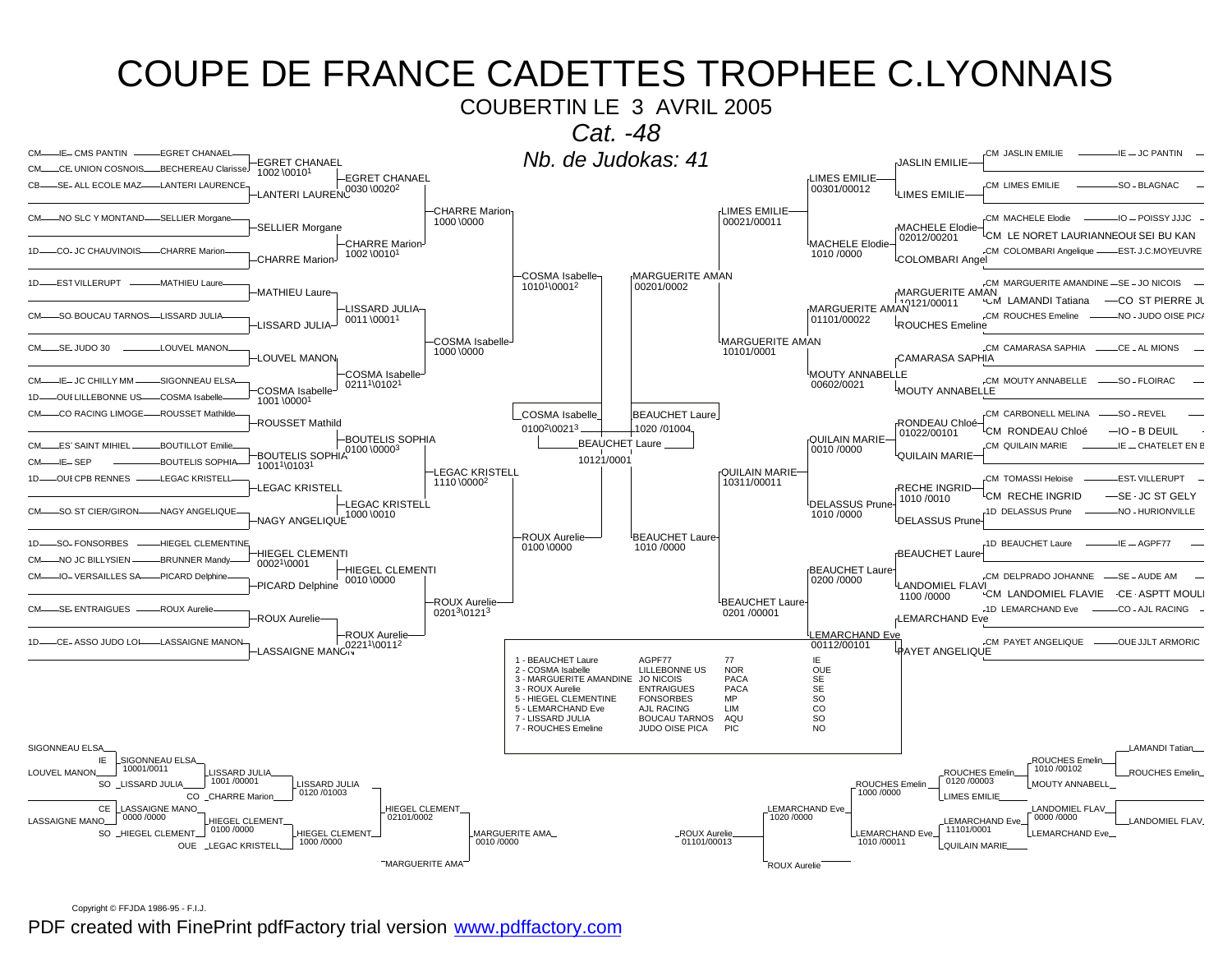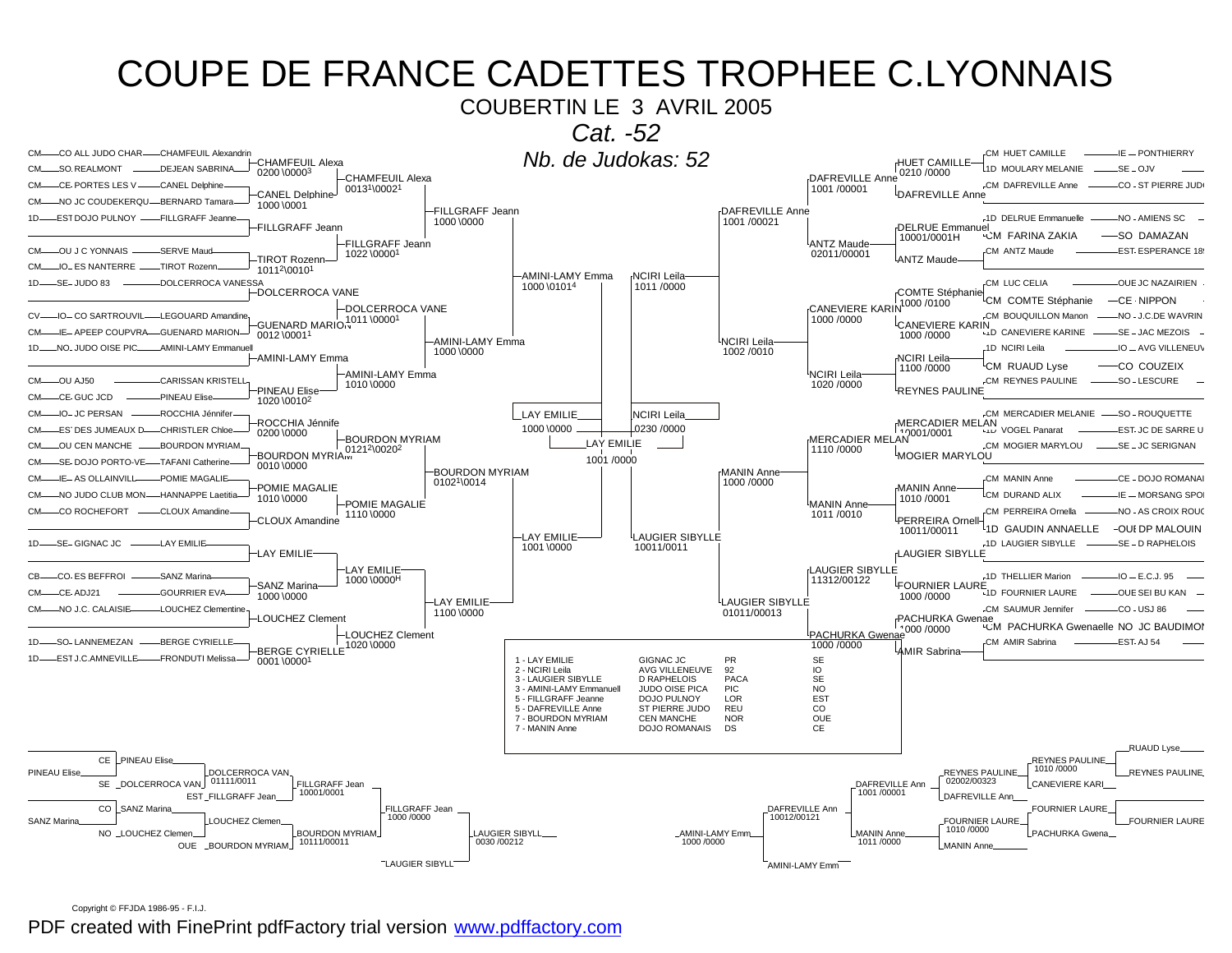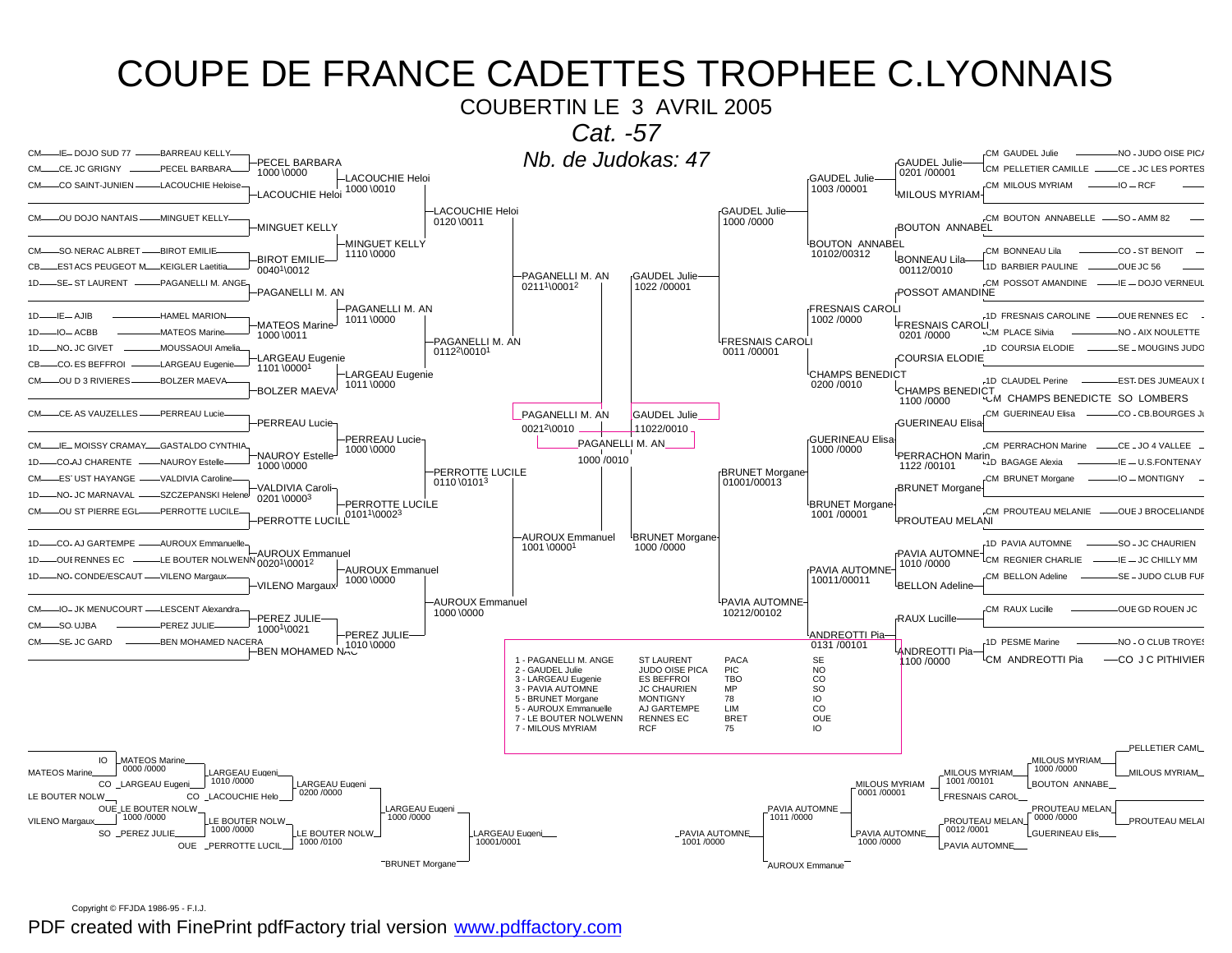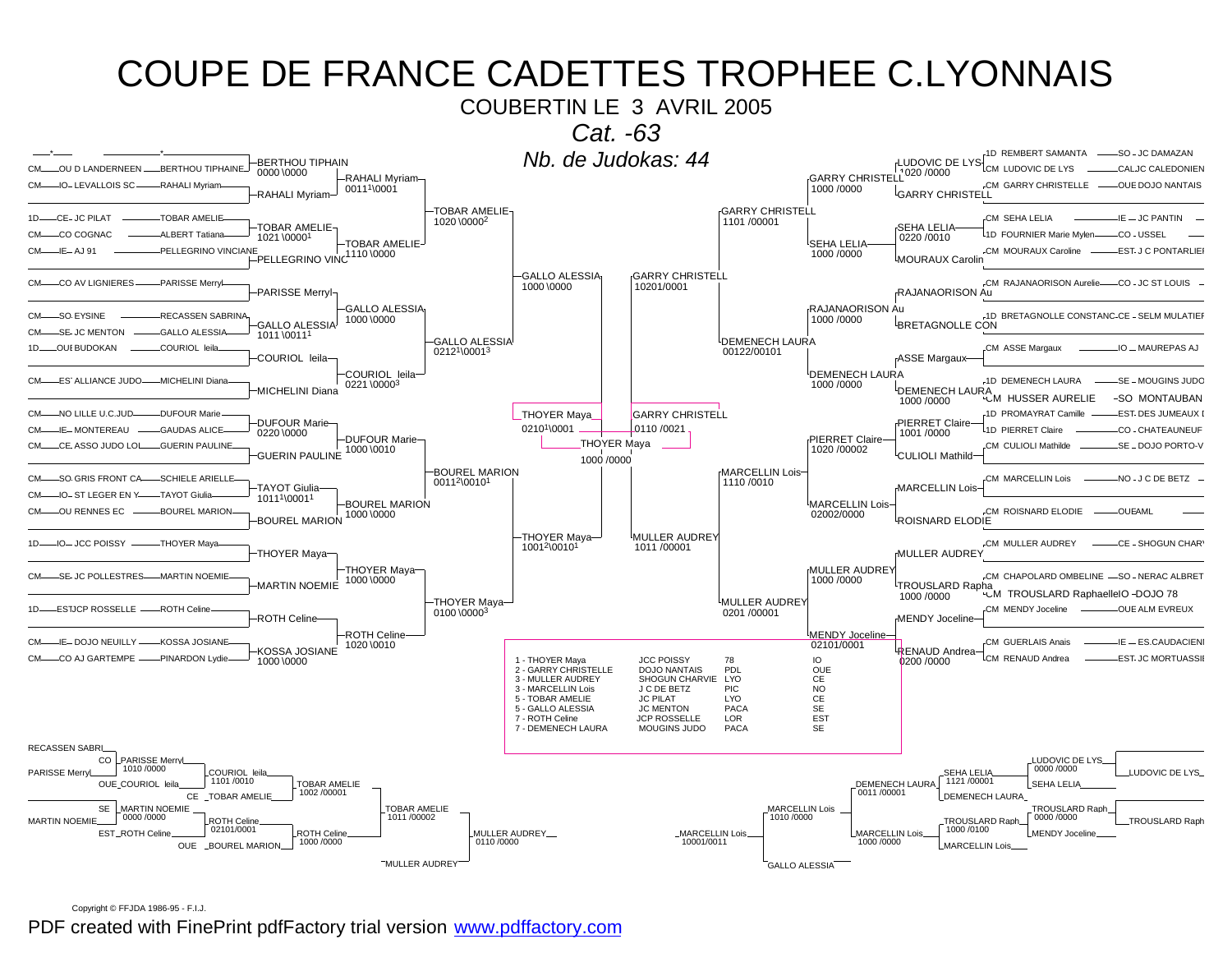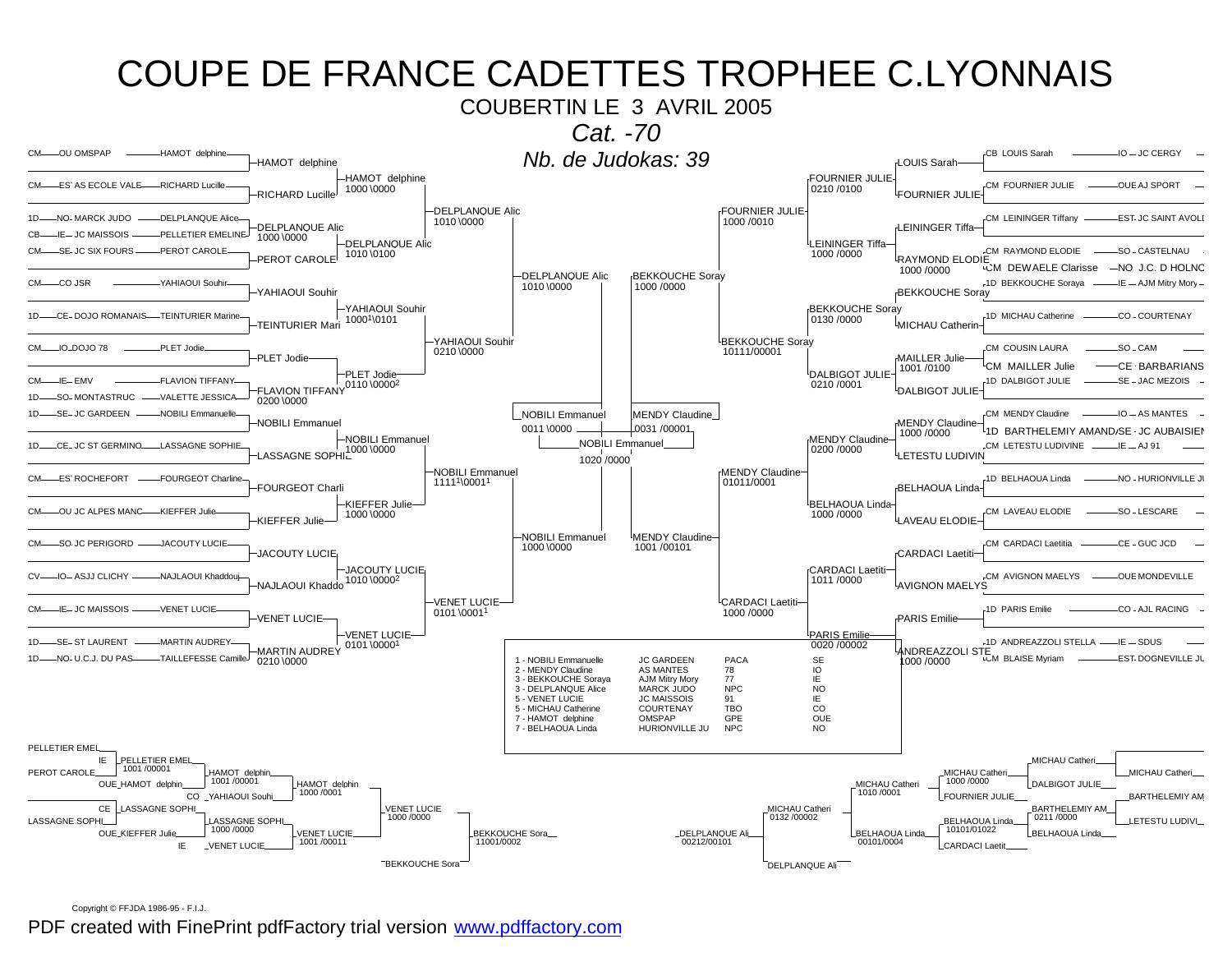